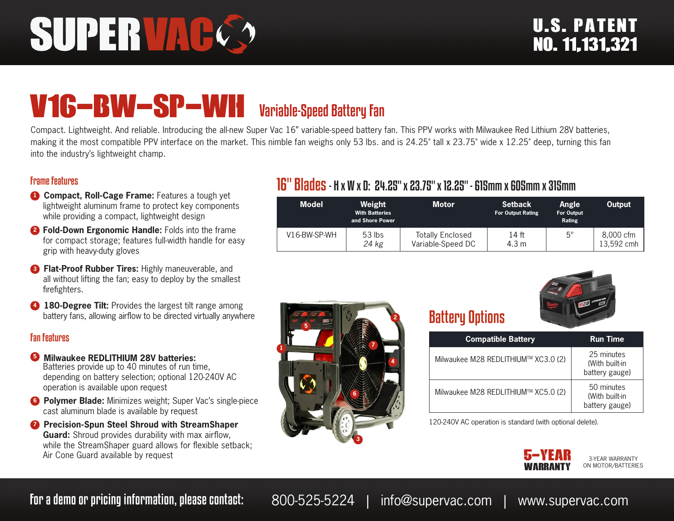# SUPERVAC

## V16-BW-SP-WH Variable-Speed Battery Fan

Compact. Lightweight. And reliable. Introducing the all-new Super Vac 16" variable-speed battery fan. This PPV works with Milwaukee Red Lithium 28V batteries, making it the most compatible PPV interface on the market. This nimble fan weighs only 53 lbs. and is 24.25" tall x 23.75" wide x 12.25" deep, turning this fan into the industry's lightweight champ.

### Frame Features

- **1 Compact, Roll-Cage Frame:** Features a tough yet lightweight aluminum frame to protect key components while providing a compact, lightweight design
- **<sup>2</sup> Fold-Down Ergonomic Handle:** Folds into the frame for compact storage; features full-width handle for easy grip with heavy-duty gloves
- **8 Flat-Proof Rubber Tires:** Highly maneuverable, and all without lifting the fan; easy to deploy by the smallest firefighters.
- **4 180-Degree Tilt:** Provides the largest tilt range among battery fans, allowing airflow to be directed virtually anywhere

### Fan Features

- **5 Milwaukee REDLITHIUM 28V batteries:** Batteries provide up to 40 minutes of run time, depending on battery selection; optional 120-240V AC operation is available upon request
- **6 Polymer Blade:** Minimizes weight; Super Vac's single-piece cast aluminum blade is available by request
- **<sup>7</sup>** Precision-Spun Steel Shroud with StreamShaper **Guard:** Shroud provides durability with max airflow, while the StreamShaper guard allows for flexible setback; Air Cone Guard available by request

### **1 2 3 4 5 7 6**

### 16" Blades- H x W x D: 24.25" x 23.75" x 12.25" - 615mm x 605mm x 315mm

| <b>Model</b> | Weight<br><b>With Batteries</b><br>and Shore Power | <b>Motor</b>                                 | <b>Setback</b><br><b>For Output Rating</b> | Angle<br><b>For Output</b><br>Rating | Output                  |
|--------------|----------------------------------------------------|----------------------------------------------|--------------------------------------------|--------------------------------------|-------------------------|
| V16-BW-SP-WH | $53$ lbs<br>24 kg                                  | <b>Totally Enclosed</b><br>Variable-Speed DC | 14 ft<br>4.3 m                             | $5^{\circ}$                          | 8,000 cfm<br>13,592 cmh |



| <b>Compatible Battery</b>           | <b>Run Time</b>                                |
|-------------------------------------|------------------------------------------------|
| Milwaukee M28 REDLITHIUM™ XC3.0 (2) | 25 minutes<br>(With built-in<br>battery gauge) |
| Milwaukee M28 REDLITHIUM™ XC5.0 (2) | 50 minutes<br>(With built-in<br>battery gauge) |

120-240V AC operation is standard (with optional delete).



3-YEAR WARRANTY ON MOTOR/BATTERIES

For a demo or pricing information, please contact: 800-525-5224 | info@supervac.com | www.supervac.com